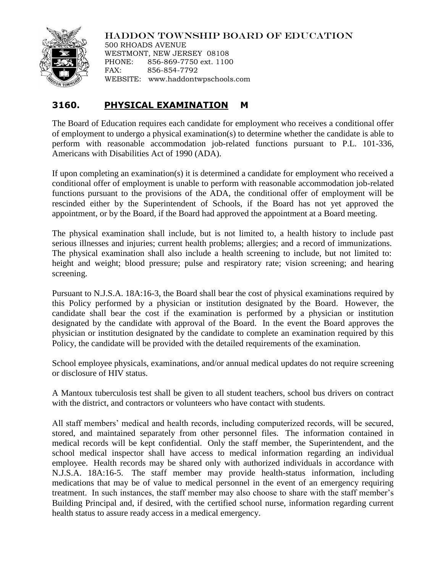

HADDON TOWNSHIP BOARD OF EDUCATION

500 RHOADS AVENUE WESTMONT, NEW JERSEY 08108 PHONE: 856-869-7750 ext. 1100 FAX: 856-854-7792 WEBSITE: www.haddontwpschools.com

## **3160. PHYSICAL EXAMINATION M**

The Board of Education requires each candidate for employment who receives a conditional offer of employment to undergo a physical examination(s) to determine whether the candidate is able to perform with reasonable accommodation job-related functions pursuant to P.L. 101-336, Americans with Disabilities Act of 1990 (ADA).

If upon completing an examination(s) it is determined a candidate for employment who received a conditional offer of employment is unable to perform with reasonable accommodation job-related functions pursuant to the provisions of the ADA, the conditional offer of employment will be rescinded either by the Superintendent of Schools, if the Board has not yet approved the appointment, or by the Board, if the Board had approved the appointment at a Board meeting.

The physical examination shall include, but is not limited to, a health history to include past serious illnesses and injuries; current health problems; allergies; and a record of immunizations. The physical examination shall also include a health screening to include, but not limited to: height and weight; blood pressure; pulse and respiratory rate; vision screening; and hearing screening.

Pursuant to N.J.S.A. 18A:16-3, the Board shall bear the cost of physical examinations required by this Policy performed by a physician or institution designated by the Board. However, the candidate shall bear the cost if the examination is performed by a physician or institution designated by the candidate with approval of the Board. In the event the Board approves the physician or institution designated by the candidate to complete an examination required by this Policy, the candidate will be provided with the detailed requirements of the examination.

School employee physicals, examinations, and/or annual medical updates do not require screening or disclosure of HIV status.

A Mantoux tuberculosis test shall be given to all student teachers, school bus drivers on contract with the district, and contractors or volunteers who have contact with students.

All staff members' medical and health records, including computerized records, will be secured, stored, and maintained separately from other personnel files. The information contained in medical records will be kept confidential. Only the staff member, the Superintendent, and the school medical inspector shall have access to medical information regarding an individual employee. Health records may be shared only with authorized individuals in accordance with N.J.S.A. 18A:16-5. The staff member may provide health-status information, including medications that may be of value to medical personnel in the event of an emergency requiring treatment. In such instances, the staff member may also choose to share with the staff member's Building Principal and, if desired, with the certified school nurse, information regarding current health status to assure ready access in a medical emergency.